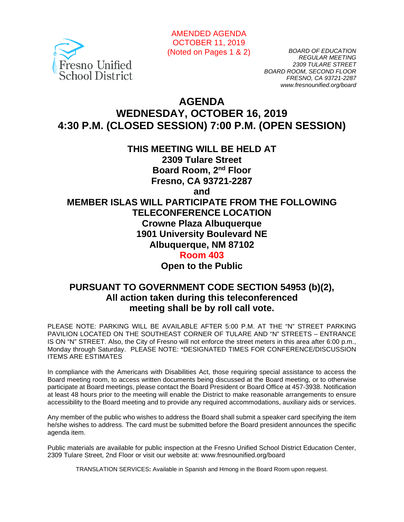

AMENDED AGENDA OCTOBER 11, 2019 (Noted on Pages 1 & 2)

*BOARD OF EDUCATION REGULAR MEETING 2309 TULARE STREET BOARD ROOM, SECOND FLOOR FRESNO, CA 93721-2287 www.fresnounified.org/board*

# **AGENDA WEDNESDAY, OCTOBER 16, 2019 4:30 P.M. (CLOSED SESSION) 7:00 P.M. (OPEN SESSION)**

**THIS MEETING WILL BE HELD AT** 

**2309 Tulare Street Board Room, 2nd Floor Fresno, CA 93721-2287**

**and**

**MEMBER ISLAS WILL PARTICIPATE FROM THE FOLLOWING TELECONFERENCE LOCATION Crowne Plaza Albuquerque 1901 University Boulevard NE Albuquerque, NM 87102 Room 403**

**Open to the Public**

## **PURSUANT TO GOVERNMENT CODE SECTION 54953 (b)(2), All action taken during this teleconferenced meeting shall be by roll call vote.**

PLEASE NOTE: PARKING WILL BE AVAILABLE AFTER 5:00 P.M. AT THE "N" STREET PARKING PAVILION LOCATED ON THE SOUTHEAST CORNER OF TULARE AND "N" STREETS – ENTRANCE IS ON "N" STREET. Also, the City of Fresno will not enforce the street meters in this area after 6:00 p.m., Monday through Saturday. PLEASE NOTE: \*DESIGNATED TIMES FOR CONFERENCE/DISCUSSION ITEMS ARE ESTIMATES

In compliance with the Americans with Disabilities Act, those requiring special assistance to access the Board meeting room, to access written documents being discussed at the Board meeting, or to otherwise participate at Board meetings, please contact the Board President or Board Office at 457-3938. Notification at least 48 hours prior to the meeting will enable the District to make reasonable arrangements to ensure accessibility to the Board meeting and to provide any required accommodations, auxiliary aids or services.

Any member of the public who wishes to address the Board shall submit a speaker card specifying the item he/she wishes to address. The card must be submitted before the Board president announces the specific agenda item.

Public materials are available for public inspection at the Fresno Unified School District Education Center, 2309 Tulare Street, 2nd Floor or visit our website at: www.fresnounified.org/board

TRANSLATION SERVICES**:** Available in Spanish and Hmong in the Board Room upon request.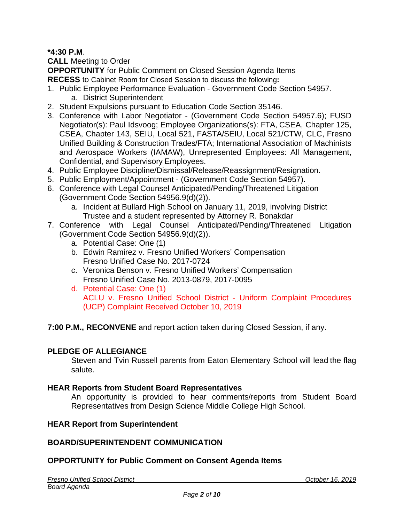## **\*4:30 P.M**.

**CALL** Meeting to Order

**OPPORTUNITY** for Public Comment on Closed Session Agenda Items **RECESS** to Cabinet Room for Closed Session to discuss the following**:**

- 1. Public Employee Performance Evaluation Government Code Section 54957. a. District Superintendent
- 2. Student Expulsions pursuant to Education Code Section 35146.
- 3. Conference with Labor Negotiator (Government Code Section 54957.6); FUSD Negotiator(s): Paul Idsvoog; Employee Organizations(s): FTA, CSEA, Chapter 125, CSEA, Chapter 143, SEIU, Local 521, FASTA/SEIU, Local 521/CTW, CLC, Fresno Unified Building & Construction Trades/FTA; International Association of Machinists and Aerospace Workers (IAMAW), Unrepresented Employees: All Management, Confidential, and Supervisory Employees.
- 4. Public Employee Discipline/Dismissal/Release/Reassignment/Resignation.
- 5. Public Employment/Appointment (Government Code Section 54957).
- 6. Conference with Legal Counsel Anticipated/Pending/Threatened Litigation (Government Code Section 54956.9(d)(2)).
	- a. Incident at Bullard High School on January 11, 2019, involving District Trustee and a student represented by Attorney R. Bonakdar
- 7. Conference with Legal Counsel Anticipated/Pending/Threatened Litigation (Government Code Section 54956.9(d)(2)).
	- a. Potential Case: One (1)
	- b. Edwin Ramirez v. Fresno Unified Workers' Compensation Fresno Unified Case No. 2017-0724
	- c. Veronica Benson v. Fresno Unified Workers' Compensation Fresno Unified Case No. 2013-0879, 2017-0095
	- d. Potential Case: One (1) ACLU v. Fresno Unified School District - Uniform Complaint Procedures (UCP) Complaint Received October 10, 2019

**7:00 P.M., RECONVENE** and report action taken during Closed Session, if any.

#### **PLEDGE OF ALLEGIANCE**

Steven and Tvin Russell parents from Eaton Elementary School will lead the flag salute.

#### **HEAR Reports from Student Board Representatives**

An opportunity is provided to hear comments/reports from Student Board Representatives from Design Science Middle College High School.

#### **HEAR Report from Superintendent**

#### **BOARD/SUPERINTENDENT COMMUNICATION**

#### **OPPORTUNITY for Public Comment on Consent Agenda Items**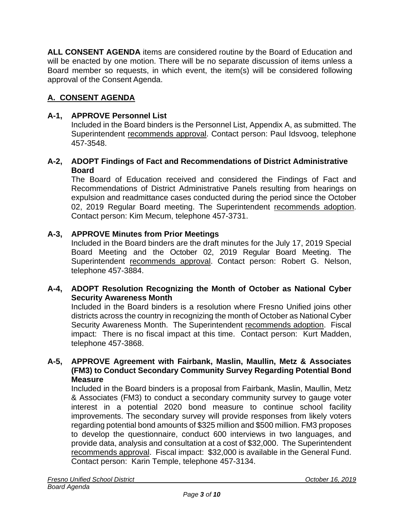**ALL CONSENT AGENDA** items are considered routine by the Board of Education and will be enacted by one motion. There will be no separate discussion of items unless a Board member so requests, in which event, the item(s) will be considered following approval of the Consent Agenda.

## **A. CONSENT AGENDA**

## **A-1, APPROVE Personnel List**

Included in the Board binders is the Personnel List, Appendix A, as submitted. The Superintendent recommends approval. Contact person: Paul Idsvoog, telephone 457-3548.

### **A-2, ADOPT Findings of Fact and Recommendations of District Administrative Board**

The Board of Education received and considered the Findings of Fact and Recommendations of District Administrative Panels resulting from hearings on expulsion and readmittance cases conducted during the period since the October 02, 2019 Regular Board meeting. The Superintendent recommends adoption. Contact person: Kim Mecum, telephone 457-3731.

### **A-3, APPROVE Minutes from Prior Meetings**

Included in the Board binders are the draft minutes for the July 17, 2019 Special Board Meeting and the October 02, 2019 Regular Board Meeting. The Superintendent recommends approval. Contact person: Robert G. Nelson, telephone 457-3884.

### **A-4, ADOPT Resolution Recognizing the Month of October as National Cyber Security Awareness Month**

Included in the Board binders is a resolution where Fresno Unified joins other districts across the country in recognizing the month of October as National Cyber Security Awareness Month. The Superintendent recommends adoption. Fiscal impact: There is no fiscal impact at this time. Contact person: Kurt Madden, telephone 457-3868.

#### **A-5, APPROVE Agreement with Fairbank, Maslin, Maullin, Metz & Associates (FM3) to Conduct Secondary Community Survey Regarding Potential Bond Measure**

Included in the Board binders is a proposal from Fairbank, Maslin, Maullin, Metz & Associates (FM3) to conduct a secondary community survey to gauge voter interest in a potential 2020 bond measure to continue school facility improvements. The secondary survey will provide responses from likely voters regarding potential bond amounts of \$325 million and \$500 million. FM3 proposes to develop the questionnaire, conduct 600 interviews in two languages, and provide data, analysis and consultation at a cost of \$32,000. The Superintendent recommends approval. Fiscal impact: \$32,000 is available in the General Fund. Contact person: Karin Temple, telephone 457-3134.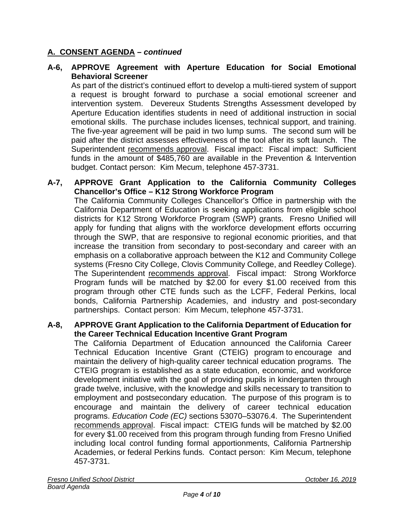## **A. CONSENT AGENDA –** *continued*

## **A-6, APPROVE Agreement with Aperture Education for Social Emotional Behavioral Screener**

As part of the district's continued effort to develop a multi-tiered system of support a request is brought forward to purchase a social emotional screener and intervention system. Devereux Students Strengths Assessment developed by Aperture Education identifies students in need of additional instruction in social emotional skills. The purchase includes licenses, technical support, and training. The five-year agreement will be paid in two lump sums. The second sum will be paid after the district assesses effectiveness of the tool after its soft launch. The Superintendent recommends approval. Fiscal impact: Fiscal impact: Sufficient funds in the amount of \$485,760 are available in the Prevention & Intervention budget. Contact person: Kim Mecum, telephone 457-3731.

#### **A-7, APPROVE Grant Application to the California Community Colleges Chancellor's Office – K12 Strong Workforce Program**

The California Community Colleges Chancellor's Office in partnership with the California Department of Education is seeking applications from eligible school districts for K12 Strong Workforce Program (SWP) grants. Fresno Unified will apply for funding that aligns with the workforce development efforts occurring through the SWP, that are responsive to regional economic priorities, and that increase the transition from secondary to post-secondary and career with an emphasis on a collaborative approach between the K12 and Community College systems (Fresno City College, Clovis Community College, and Reedley College). The Superintendent recommends approval. Fiscal impact: Strong Workforce Program funds will be matched by \$2.00 for every \$1.00 received from this program through other CTE funds such as the LCFF, Federal Perkins, local bonds, California Partnership Academies, and industry and post-secondary partnerships. Contact person: Kim Mecum, telephone 457-3731.

#### **A-8, APPROVE Grant Application to the California Department of Education for the Career Technical Education Incentive Grant Program**

The California Department of Education announced the California Career Technical Education Incentive Grant (CTEIG) program to encourage and maintain the delivery of high-quality career technical education programs. The CTEIG program is established as a state education, economic, and workforce development initiative with the goal of providing pupils in kindergarten through grade twelve, inclusive, with the knowledge and skills necessary to transition to employment and postsecondary education. The purpose of this program is to encourage and maintain the delivery of career technical education programs. *Education Code (EC)* sections 53070–53076.4. The Superintendent recommends approval. Fiscal impact: CTEIG funds will be matched by \$2.00 for every \$1.00 received from this program through funding from Fresno Unified including local control funding formal apportionments, California Partnership Academies, or federal Perkins funds. Contact person: Kim Mecum, telephone 457-3731.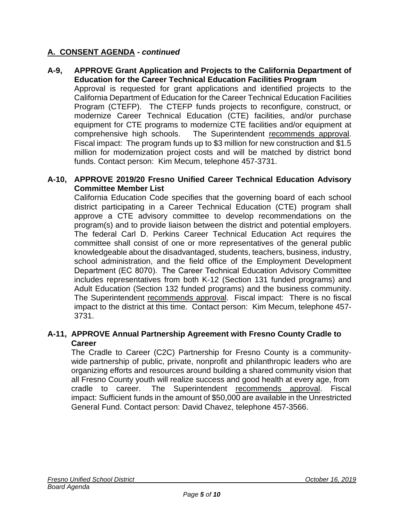## **A. CONSENT AGENDA -** *continued*

### **A-9, APPROVE Grant Application and Projects to the California Department of Education for the Career Technical Education Facilities Program**

Approval is requested for grant applications and identified projects to the California Department of Education for the Career Technical Education Facilities Program (CTEFP). The CTEFP funds projects to reconfigure, construct, or modernize Career Technical Education (CTE) facilities, and/or purchase equipment for CTE programs to modernize CTE facilities and/or equipment at comprehensive high schools. The Superintendent recommends approval. Fiscal impact: The program funds up to \$3 million for new construction and \$1.5 million for modernization project costs and will be matched by district bond funds. Contact person: Kim Mecum, telephone 457-3731.

#### **A-10, APPROVE 2019/20 Fresno Unified Career Technical Education Advisory Committee Member List**

California Education Code specifies that the governing board of each school district participating in a Career Technical Education (CTE) program shall approve a CTE advisory committee to develop recommendations on the program(s) and to provide liaison between the district and potential employers. The federal Carl D. Perkins Career Technical Education Act requires the committee shall consist of one or more representatives of the general public knowledgeable about the disadvantaged, students, teachers, business, industry, school administration, and the field office of the Employment Development Department (EC 8070).  The Career Technical Education Advisory Committee includes representatives from both K-12 (Section 131 funded programs) and Adult Education (Section 132 funded programs) and the business community. The Superintendent recommends approval. Fiscal impact: There is no fiscal impact to the district at this time. Contact person: Kim Mecum, telephone 457- 3731.

### **A-11, APPROVE Annual Partnership Agreement with Fresno County Cradle to Career**

The Cradle to Career (C2C) Partnership for Fresno County is a communitywide partnership of public, private, nonprofit and philanthropic leaders who are organizing efforts and resources around building a shared community vision that all Fresno County youth will realize success and good health at every age, from cradle to career. The Superintendent recommends approval. Fiscal impact: Sufficient funds in the amount of \$50,000 are available in the Unrestricted General Fund. Contact person: David Chavez, telephone 457-3566.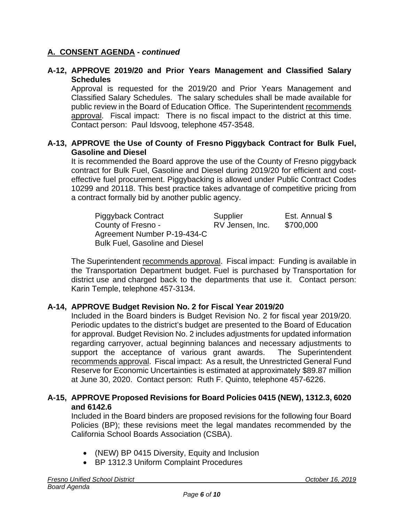## **A. CONSENT AGENDA -** *continued*

#### **A-12, APPROVE 2019/20 and Prior Years Management and Classified Salary Schedules**

Approval is requested for the 2019/20 and Prior Years Management and Classified Salary Schedules. The salary schedules shall be made available for public review in the Board of Education Office. The Superintendent recommends approval. Fiscal impact: There is no fiscal impact to the district at this time. Contact person: Paul Idsvoog, telephone 457-3548.

## **A-13, APPROVE the Use of County of Fresno Piggyback Contract for Bulk Fuel, Gasoline and Diesel**

It is recommended the Board approve the use of the County of Fresno piggyback contract for Bulk Fuel, Gasoline and Diesel during 2019/20 for efficient and costeffective fuel procurement. Piggybacking is allowed under Public Contract Codes 10299 and 20118. This best practice takes advantage of competitive pricing from a contract formally bid by another public agency.

| <b>Piggyback Contract</b>             | Supplier        | Est. Annual \$ |
|---------------------------------------|-----------------|----------------|
| County of Fresno -                    | RV Jensen, Inc. | \$700,000      |
| Agreement Number P-19-434-C           |                 |                |
| <b>Bulk Fuel, Gasoline and Diesel</b> |                 |                |

The Superintendent recommends approval. Fiscal impact: Funding is available in the Transportation Department budget. Fuel is purchased by Transportation for district use and charged back to the departments that use it. Contact person: Karin Temple, telephone 457-3134.

## **A-14, APPROVE Budget Revision No. 2 for Fiscal Year 2019/20**

Included in the Board binders is Budget Revision No. 2 for fiscal year 2019/20. Periodic updates to the district's budget are presented to the Board of Education for approval. Budget Revision No. 2 includes adjustments for updated information regarding carryover, actual beginning balances and necessary adjustments to support the acceptance of various grant awards. The Superintendent recommends approval. Fiscal impact: As a result, the Unrestricted General Fund Reserve for Economic Uncertainties is estimated at approximately \$89.87 million at June 30, 2020. Contact person: Ruth F. Quinto, telephone 457-6226.

## **A-15, APPROVE Proposed Revisions for Board Policies 0415 (NEW), 1312.3, 6020 and 6142.6**

Included in the Board binders are proposed revisions for the following four Board Policies (BP); these revisions meet the legal mandates recommended by the California School Boards Association (CSBA).

- (NEW) BP 0415 Diversity, Equity and Inclusion
- BP 1312.3 Uniform Complaint Procedures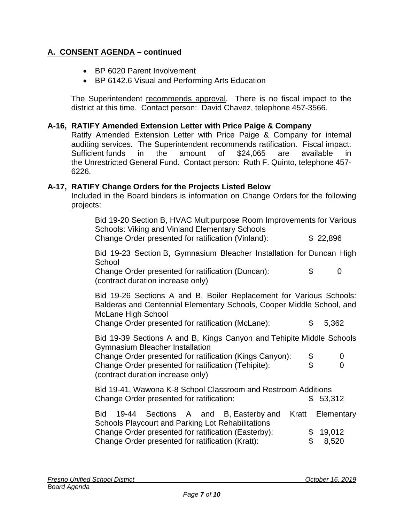## **A. CONSENT AGENDA – continued**

- BP 6020 Parent Involvement
- BP 6142.6 Visual and Performing Arts Education

The Superintendent recommends approval. There is no fiscal impact to the district at this time. Contact person: David Chavez, telephone 457-3566.

#### **A-16, RATIFY Amended Extension Letter with Price Paige & Company**

Ratify Amended Extension Letter with Price Paige & Company for internal auditing services. The Superintendent recommends ratification. Fiscal impact: Sufficient funds in the amount of \$24,065 are available in the Unrestricted General Fund. Contact person: Ruth F. Quinto, telephone 457- 6226.

#### **A-17, RATIFY Change Orders for the Projects Listed Below**

Included in the Board binders is information on Change Orders for the following projects:

Bid 19-20 Section B, HVAC Multipurpose Room Improvements for Various Schools: Viking and Vinland Elementary Schools Change Order presented for ratification (Vinland): \$ 22,896

Bid 19-23 Section B, Gymnasium Bleacher Installation for Duncan High School

Change Order presented for ratification (Duncan): \$ 0 (contract duration increase only)

Bid 19-26 Sections A and B, Boiler Replacement for Various Schools: Balderas and Centennial Elementary Schools, Cooper Middle School, and McLane High School

Change Order presented for ratification (McLane): \$ 5,362

Bid 19-39 Sections A and B, Kings Canyon and Tehipite Middle Schools Gymnasium Bleacher Installation

Change Order presented for ratification (Kings Canyon):  $$ 0$ <br>Change Order presented for ratification (Tehipite):  $$ 0$ Change Order presented for ratification (Tehipite): \$ 0 (contract duration increase only)

Bid 19-41, Wawona K-8 School Classroom and Restroom Additions Change Order presented for ratification: \$ 53,312

|                                                          |  |  |  |  | Bid 19-44 Sections A and B, Easterby and Kratt Elementary |  |  |
|----------------------------------------------------------|--|--|--|--|-----------------------------------------------------------|--|--|
| <b>Schools Playcourt and Parking Lot Rehabilitations</b> |  |  |  |  |                                                           |  |  |
| Change Order presented for ratification (Easterby):      |  |  |  |  | \$19,012                                                  |  |  |
| Change Order presented for ratification (Kratt):         |  |  |  |  | \$8,520                                                   |  |  |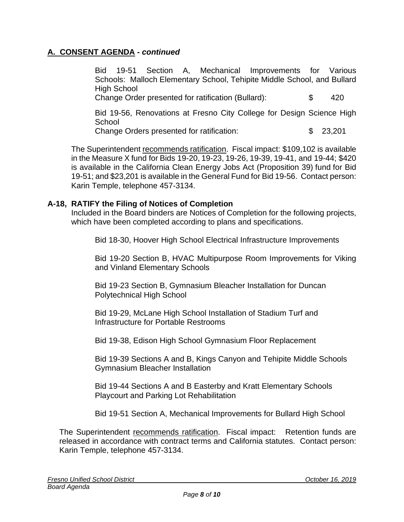## **A. CONSENT AGENDA -** *continued*

Bid 19-51 Section A, Mechanical Improvements for Various Schools: Malloch Elementary School, Tehipite Middle School, and Bullard High School Change Order presented for ratification (Bullard): \$ 420

Bid 19-56, Renovations at Fresno City College for Design Science High **School** 

Change Orders presented for ratification: \$ 23,201

The Superintendent recommends ratification. Fiscal impact: \$109,102 is available in the Measure X fund for Bids 19-20, 19-23, 19-26, 19-39, 19-41, and 19-44; \$420 is available in the California Clean Energy Jobs Act (Proposition 39) fund for Bid 19-51; and \$23,201 is available in the General Fund for Bid 19-56. Contact person: Karin Temple, telephone 457-3134.

## **A-18, RATIFY the Filing of Notices of Completion**

Included in the Board binders are Notices of Completion for the following projects, which have been completed according to plans and specifications.

Bid 18-30, Hoover High School Electrical Infrastructure Improvements

Bid 19-20 Section B, HVAC Multipurpose Room Improvements for Viking and Vinland Elementary Schools

Bid 19-23 Section B, Gymnasium Bleacher Installation for Duncan Polytechnical High School

Bid 19-29, McLane High School Installation of Stadium Turf and Infrastructure for Portable Restrooms

Bid 19-38, Edison High School Gymnasium Floor Replacement

Bid 19-39 Sections A and B, Kings Canyon and Tehipite Middle Schools Gymnasium Bleacher Installation

Bid 19-44 Sections A and B Easterby and Kratt Elementary Schools Playcourt and Parking Lot Rehabilitation

Bid 19-51 Section A, Mechanical Improvements for Bullard High School

The Superintendent recommends ratification. Fiscal impact: Retention funds are released in accordance with contract terms and California statutes. Contact person: Karin Temple, telephone 457-3134.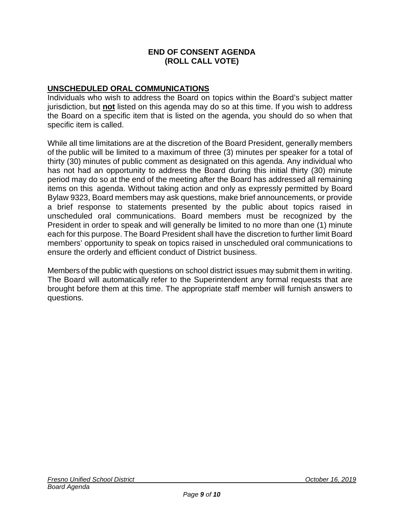#### **END OF CONSENT AGENDA (ROLL CALL VOTE)**

## **UNSCHEDULED ORAL COMMUNICATIONS**

Individuals who wish to address the Board on topics within the Board's subject matter jurisdiction, but **not** listed on this agenda may do so at this time. If you wish to address the Board on a specific item that is listed on the agenda, you should do so when that specific item is called.

While all time limitations are at the discretion of the Board President, generally members of the public will be limited to a maximum of three (3) minutes per speaker for a total of thirty (30) minutes of public comment as designated on this agenda. Any individual who has not had an opportunity to address the Board during this initial thirty (30) minute period may do so at the end of the meeting after the Board has addressed all remaining items on this agenda. Without taking action and only as expressly permitted by Board Bylaw 9323, Board members may ask questions, make brief announcements, or provide a brief response to statements presented by the public about topics raised in unscheduled oral communications. Board members must be recognized by the President in order to speak and will generally be limited to no more than one (1) minute each for this purpose. The Board President shall have the discretion to further limit Board members' opportunity to speak on topics raised in unscheduled oral communications to ensure the orderly and efficient conduct of District business.

Members of the public with questions on school district issues may submit them in writing. The Board will automatically refer to the Superintendent any formal requests that are brought before them at this time. The appropriate staff member will furnish answers to questions.